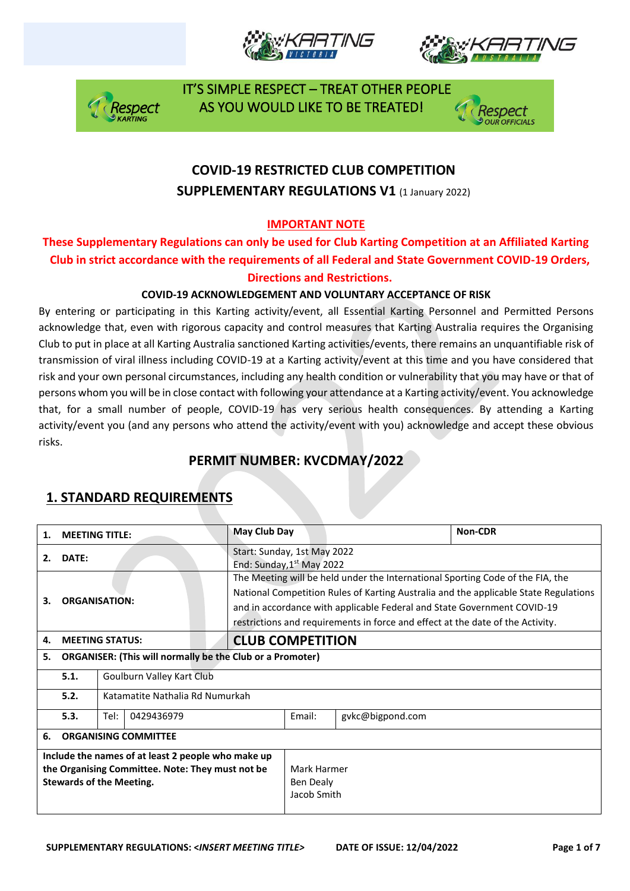







## **COVID-19 RESTRICTED CLUB COMPETITION SUPPLEMENTARY REGULATIONS V1 (1 January 2022)**

### **IMPORTANT NOTE**

### **These Supplementary Regulations can only be used for Club Karting Competition at an Affiliated Karting Club in strict accordance with the requirements of all Federal and State Government COVID-19 Orders, Directions and Restrictions.**

#### **COVID-19 ACKNOWLEDGEMENT AND VOLUNTARY ACCEPTANCE OF RISK**

By entering or participating in this Karting activity/event, all Essential Karting Personnel and Permitted Persons acknowledge that, even with rigorous capacity and control measures that Karting Australia requires the Organising Club to put in place at all Karting Australia sanctioned Karting activities/events, there remains an unquantifiable risk of transmission of viral illness including COVID-19 at a Karting activity/event at this time and you have considered that risk and your own personal circumstances, including any health condition or vulnerability that you may have or that of persons whom you will be in close contact with following your attendance at a Karting activity/event. You acknowledge that, for a small number of people, COVID-19 has very serious health consequences. By attending a Karting activity/event you (and any persons who attend the activity/event with you) acknowledge and accept these obvious risks.

## **PERMIT NUMBER: KVCDMAY/2022**

| 1.                                                                                                                                        | <b>MEETING TITLE:</b>                                            |                                 | May Club Day                                                                                                                                                                                                                                                                                                                        |        |                  | Non-CDR |  |
|-------------------------------------------------------------------------------------------------------------------------------------------|------------------------------------------------------------------|---------------------------------|-------------------------------------------------------------------------------------------------------------------------------------------------------------------------------------------------------------------------------------------------------------------------------------------------------------------------------------|--------|------------------|---------|--|
| 2.                                                                                                                                        | DATE:                                                            |                                 | Start: Sunday, 1st May 2022<br>End: Sunday, 1 <sup>st</sup> May 2022                                                                                                                                                                                                                                                                |        |                  |         |  |
| 3.<br><b>ORGANISATION:</b>                                                                                                                |                                                                  |                                 | The Meeting will be held under the International Sporting Code of the FIA, the<br>National Competition Rules of Karting Australia and the applicable State Regulations<br>and in accordance with applicable Federal and State Government COVID-19<br>restrictions and requirements in force and effect at the date of the Activity. |        |                  |         |  |
| 4.                                                                                                                                        |                                                                  | <b>MEETING STATUS:</b>          | <b>CLUB COMPETITION</b>                                                                                                                                                                                                                                                                                                             |        |                  |         |  |
| 5.                                                                                                                                        | <b>ORGANISER: (This will normally be the Club or a Promoter)</b> |                                 |                                                                                                                                                                                                                                                                                                                                     |        |                  |         |  |
|                                                                                                                                           | 5.1.<br>Goulburn Valley Kart Club                                |                                 |                                                                                                                                                                                                                                                                                                                                     |        |                  |         |  |
|                                                                                                                                           | 5.2.                                                             | Katamatite Nathalia Rd Numurkah |                                                                                                                                                                                                                                                                                                                                     |        |                  |         |  |
|                                                                                                                                           | 5.3.                                                             | Tel:<br>0429436979              |                                                                                                                                                                                                                                                                                                                                     | Email: | gykc@bigpond.com |         |  |
| <b>ORGANISING COMMITTEE</b><br>6.                                                                                                         |                                                                  |                                 |                                                                                                                                                                                                                                                                                                                                     |        |                  |         |  |
| Include the names of at least 2 people who make up<br>the Organising Committee. Note: They must not be<br><b>Stewards of the Meeting.</b> |                                                                  |                                 | Mark Harmer<br>Ben Dealy<br>Jacob Smith                                                                                                                                                                                                                                                                                             |        |                  |         |  |

## **1. STANDARD REQUIREMENTS**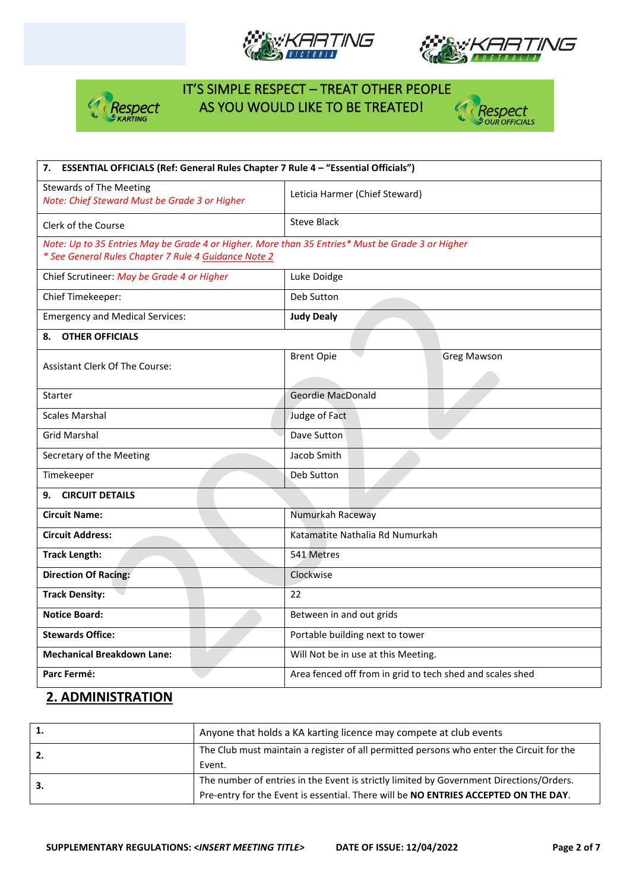







| 7. ESSENTIAL OFFICIALS (Ref: General Rules Chapter 7 Rule 4 - "Essential Officials")             |                                                           |  |  |  |
|--------------------------------------------------------------------------------------------------|-----------------------------------------------------------|--|--|--|
| <b>Stewards of The Meeting</b><br>Note: Chief Steward Must be Grade 3 or Higher                  | Leticia Harmer (Chief Steward)                            |  |  |  |
| Clerk of the Course                                                                              | <b>Steve Black</b>                                        |  |  |  |
| Note: Up to 35 Entries May be Grade 4 or Higher. More than 35 Entries* Must be Grade 3 or Higher |                                                           |  |  |  |
| * See General Rules Chapter 7 Rule 4 Guidance Note 2                                             |                                                           |  |  |  |
| Chief Scrutineer: May be Grade 4 or Higher                                                       | Luke Doidge                                               |  |  |  |
| Chief Timekeeper:                                                                                | Deb Sutton                                                |  |  |  |
| <b>Emergency and Medical Services:</b>                                                           | <b>Judy Dealy</b>                                         |  |  |  |
| <b>OTHER OFFICIALS</b><br>8.                                                                     |                                                           |  |  |  |
|                                                                                                  | <b>Brent Opie</b><br><b>Greg Mawson</b>                   |  |  |  |
| <b>Assistant Clerk Of The Course:</b>                                                            |                                                           |  |  |  |
| Starter                                                                                          | Geordie MacDonald                                         |  |  |  |
| <b>Scales Marshal</b>                                                                            | Judge of Fact                                             |  |  |  |
| <b>Grid Marshal</b>                                                                              | Dave Sutton                                               |  |  |  |
| Secretary of the Meeting                                                                         | Jacob Smith                                               |  |  |  |
| Timekeeper                                                                                       | Deb Sutton                                                |  |  |  |
| 9. CIRCUIT DETAILS                                                                               |                                                           |  |  |  |
| <b>Circuit Name:</b>                                                                             | Numurkah Raceway                                          |  |  |  |
| <b>Circuit Address:</b>                                                                          | Katamatite Nathalia Rd Numurkah                           |  |  |  |
| <b>Track Length:</b>                                                                             | 541 Metres                                                |  |  |  |
| <b>Direction Of Racing:</b>                                                                      | Clockwise                                                 |  |  |  |
| <b>Track Density:</b>                                                                            | 22                                                        |  |  |  |
| <b>Notice Board:</b>                                                                             | Between in and out grids                                  |  |  |  |
| <b>Stewards Office:</b>                                                                          | Portable building next to tower                           |  |  |  |
| <b>Mechanical Breakdown Lane:</b>                                                                | Will Not be in use at this Meeting.                       |  |  |  |
| Parc Fermé:                                                                                      | Area fenced off from in grid to tech shed and scales shed |  |  |  |

### **2. ADMINISTRATION**

|    | Anyone that holds a KA karting licence may compete at club events                                                                                                              |
|----|--------------------------------------------------------------------------------------------------------------------------------------------------------------------------------|
| 2. | The Club must maintain a register of all permitted persons who enter the Circuit for the<br>Event.                                                                             |
| 3. | The number of entries in the Event is strictly limited by Government Directions/Orders.<br>Pre-entry for the Event is essential. There will be NO ENTRIES ACCEPTED ON THE DAY. |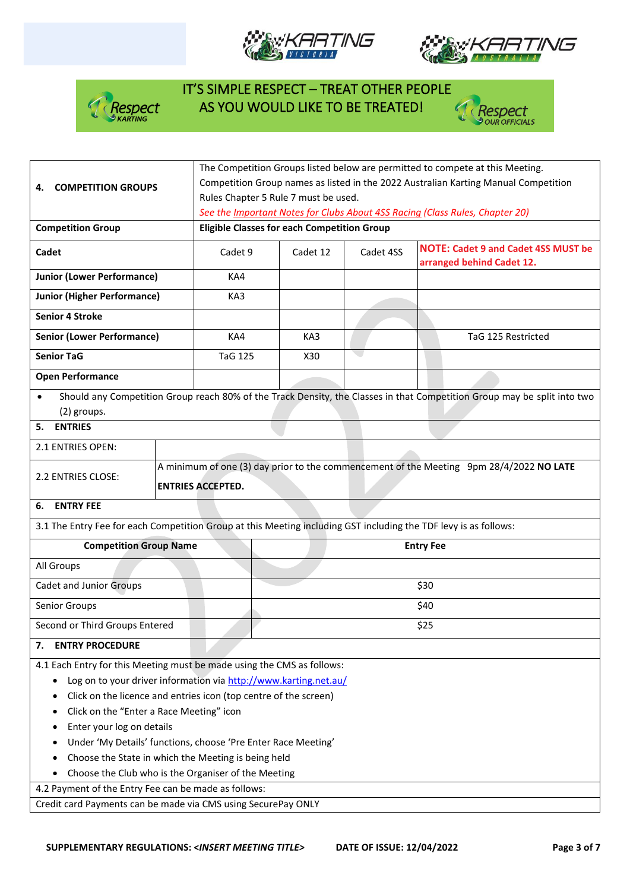







| <b>COMPETITION GROUPS</b><br>4.                                                                                                           | The Competition Groups listed below are permitted to compete at this Meeting.<br>Competition Group names as listed in the 2022 Australian Karting Manual Competition<br>Rules Chapter 5 Rule 7 must be used. |                                                                                                                                    |           |                                                                                                                          |  |  |  |
|-------------------------------------------------------------------------------------------------------------------------------------------|--------------------------------------------------------------------------------------------------------------------------------------------------------------------------------------------------------------|------------------------------------------------------------------------------------------------------------------------------------|-----------|--------------------------------------------------------------------------------------------------------------------------|--|--|--|
| <b>Competition Group</b>                                                                                                                  |                                                                                                                                                                                                              | See the Important Notes for Clubs About 4SS Racing (Class Rules, Chapter 20)<br><b>Eligible Classes for each Competition Group</b> |           |                                                                                                                          |  |  |  |
| Cadet                                                                                                                                     | Cadet 9                                                                                                                                                                                                      | Cadet 12                                                                                                                           | Cadet 4SS | <b>NOTE: Cadet 9 and Cadet 4SS MUST be</b><br>arranged behind Cadet 12.                                                  |  |  |  |
| <b>Junior (Lower Performance)</b>                                                                                                         | KA4                                                                                                                                                                                                          |                                                                                                                                    |           |                                                                                                                          |  |  |  |
| <b>Junior (Higher Performance)</b>                                                                                                        | KA3                                                                                                                                                                                                          |                                                                                                                                    |           |                                                                                                                          |  |  |  |
| <b>Senior 4 Stroke</b>                                                                                                                    |                                                                                                                                                                                                              |                                                                                                                                    |           |                                                                                                                          |  |  |  |
| <b>Senior (Lower Performance)</b>                                                                                                         | KA4                                                                                                                                                                                                          | KA3                                                                                                                                |           | TaG 125 Restricted                                                                                                       |  |  |  |
| <b>Senior TaG</b>                                                                                                                         | <b>TaG 125</b>                                                                                                                                                                                               | X30                                                                                                                                |           |                                                                                                                          |  |  |  |
| <b>Open Performance</b>                                                                                                                   |                                                                                                                                                                                                              |                                                                                                                                    |           |                                                                                                                          |  |  |  |
| $\bullet$<br>(2) groups.                                                                                                                  |                                                                                                                                                                                                              |                                                                                                                                    |           | Should any Competition Group reach 80% of the Track Density, the Classes in that Competition Group may be split into two |  |  |  |
| <b>ENTRIES</b><br>5.                                                                                                                      |                                                                                                                                                                                                              |                                                                                                                                    |           |                                                                                                                          |  |  |  |
| 2.1 ENTRIES OPEN:                                                                                                                         |                                                                                                                                                                                                              |                                                                                                                                    |           |                                                                                                                          |  |  |  |
| A minimum of one (3) day prior to the commencement of the Meeting 9pm 28/4/2022 NO LATE<br>2.2 ENTRIES CLOSE:<br><b>ENTRIES ACCEPTED.</b> |                                                                                                                                                                                                              |                                                                                                                                    |           |                                                                                                                          |  |  |  |
| <b>ENTRY FEE</b><br>6.                                                                                                                    |                                                                                                                                                                                                              |                                                                                                                                    |           |                                                                                                                          |  |  |  |
| 3.1 The Entry Fee for each Competition Group at this Meeting including GST including the TDF levy is as follows:                          |                                                                                                                                                                                                              |                                                                                                                                    |           |                                                                                                                          |  |  |  |
| <b>Competition Group Name</b>                                                                                                             |                                                                                                                                                                                                              |                                                                                                                                    |           | <b>Entry Fee</b>                                                                                                         |  |  |  |
| All Groups                                                                                                                                |                                                                                                                                                                                                              |                                                                                                                                    |           |                                                                                                                          |  |  |  |
| <b>Cadet and Junior Groups</b>                                                                                                            |                                                                                                                                                                                                              |                                                                                                                                    |           | \$30                                                                                                                     |  |  |  |
| Senior Groups                                                                                                                             |                                                                                                                                                                                                              | \$40                                                                                                                               |           |                                                                                                                          |  |  |  |
| Second or Third Groups Entered                                                                                                            |                                                                                                                                                                                                              | \$25                                                                                                                               |           |                                                                                                                          |  |  |  |
| <b>ENTRY PROCEDURE</b><br>7.                                                                                                              |                                                                                                                                                                                                              |                                                                                                                                    |           |                                                                                                                          |  |  |  |
| 4.1 Each Entry for this Meeting must be made using the CMS as follows:                                                                    |                                                                                                                                                                                                              |                                                                                                                                    |           |                                                                                                                          |  |  |  |
| Log on to your driver information via http://www.karting.net.au/<br>Click on the licence and entries icon (top centre of the screen)      |                                                                                                                                                                                                              |                                                                                                                                    |           |                                                                                                                          |  |  |  |
| Click on the "Enter a Race Meeting" icon                                                                                                  |                                                                                                                                                                                                              |                                                                                                                                    |           |                                                                                                                          |  |  |  |
| Enter your log on details                                                                                                                 |                                                                                                                                                                                                              |                                                                                                                                    |           |                                                                                                                          |  |  |  |
| Under 'My Details' functions, choose 'Pre Enter Race Meeting'                                                                             |                                                                                                                                                                                                              |                                                                                                                                    |           |                                                                                                                          |  |  |  |
| Choose the State in which the Meeting is being held                                                                                       |                                                                                                                                                                                                              |                                                                                                                                    |           |                                                                                                                          |  |  |  |
| Choose the Club who is the Organiser of the Meeting<br>٠                                                                                  |                                                                                                                                                                                                              |                                                                                                                                    |           |                                                                                                                          |  |  |  |
| 4.2 Payment of the Entry Fee can be made as follows:                                                                                      |                                                                                                                                                                                                              |                                                                                                                                    |           |                                                                                                                          |  |  |  |
| Credit card Payments can be made via CMS using SecurePay ONLY                                                                             |                                                                                                                                                                                                              |                                                                                                                                    |           |                                                                                                                          |  |  |  |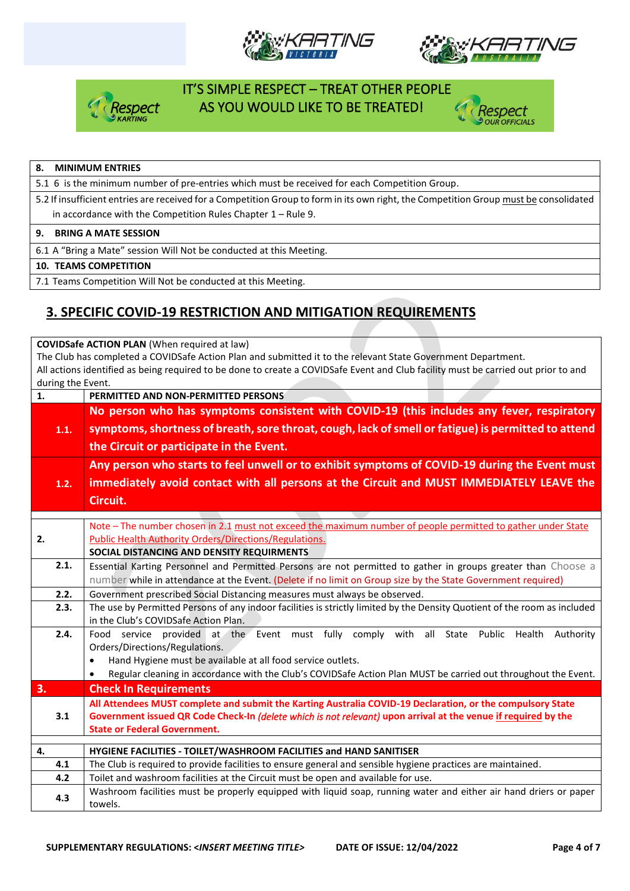







#### **8. MINIMUM ENTRIES**

5.1 6 is the minimum number of pre-entries which must be received for each Competition Group.

5.2 If insufficient entries are received for a Competition Group to form in its own right, the Competition Group must be consolidated in accordance with the Competition Rules Chapter 1 – Rule 9.

#### **9. BRING A MATE SESSION**

6.1 A "Bring a Mate" session Will Not be conducted at this Meeting.

#### **10. TEAMS COMPETITION**

7.1 Teams Competition Will Not be conducted at this Meeting.

### **3. SPECIFIC COVID-19 RESTRICTION AND MITIGATION REQUIREMENTS**

**COVIDSafe ACTION PLAN** (When required at law)

The Club has completed a COVIDSafe Action Plan and submitted it to the relevant State Government Department. All actions identified as being required to be done to create a COVIDSafe Event and Club facility must be carried out prior to and during the Event.

| PERMITTED AND NON-PERMITTED PERSONS                                                                                                                                                                                          |  |  |  |  |  |
|------------------------------------------------------------------------------------------------------------------------------------------------------------------------------------------------------------------------------|--|--|--|--|--|
| No person who has symptoms consistent with COVID-19 (this includes any fever, respiratory                                                                                                                                    |  |  |  |  |  |
| symptoms, shortness of breath, sore throat, cough, lack of smell or fatigue) is permitted to attend                                                                                                                          |  |  |  |  |  |
| the Circuit or participate in the Event.                                                                                                                                                                                     |  |  |  |  |  |
| Any person who starts to feel unwell or to exhibit symptoms of COVID-19 during the Event must                                                                                                                                |  |  |  |  |  |
| immediately avoid contact with all persons at the Circuit and MUST IMMEDIATELY LEAVE the                                                                                                                                     |  |  |  |  |  |
| Circuit.                                                                                                                                                                                                                     |  |  |  |  |  |
|                                                                                                                                                                                                                              |  |  |  |  |  |
| Note – The number chosen in 2.1 must not exceed the maximum number of people permitted to gather under State<br>Public Health Authority Orders/Directions/Regulations.                                                       |  |  |  |  |  |
| SOCIAL DISTANCING AND DENSITY REQUIRMENTS                                                                                                                                                                                    |  |  |  |  |  |
| Essential Karting Personnel and Permitted Persons are not permitted to gather in groups greater than Choose a                                                                                                                |  |  |  |  |  |
| number while in attendance at the Event. (Delete if no limit on Group size by the State Government required)                                                                                                                 |  |  |  |  |  |
| Government prescribed Social Distancing measures must always be observed.                                                                                                                                                    |  |  |  |  |  |
| The use by Permitted Persons of any indoor facilities is strictly limited by the Density Quotient of the room as included                                                                                                    |  |  |  |  |  |
| in the Club's COVIDSafe Action Plan.                                                                                                                                                                                         |  |  |  |  |  |
| Food service provided at the Event must fully comply with all State Public Health<br>Authority                                                                                                                               |  |  |  |  |  |
| Orders/Directions/Regulations.                                                                                                                                                                                               |  |  |  |  |  |
| Hand Hygiene must be available at all food service outlets.<br>$\bullet$<br>Regular cleaning in accordance with the Club's COVIDSafe Action Plan MUST be carried out throughout the Event.<br>$\bullet$                      |  |  |  |  |  |
| <b>Check In Requirements</b>                                                                                                                                                                                                 |  |  |  |  |  |
|                                                                                                                                                                                                                              |  |  |  |  |  |
| All Attendees MUST complete and submit the Karting Australia COVID-19 Declaration, or the compulsory State<br>Government issued QR Code Check-In (delete which is not relevant) upon arrival at the venue if required by the |  |  |  |  |  |
| <b>State or Federal Government.</b>                                                                                                                                                                                          |  |  |  |  |  |
|                                                                                                                                                                                                                              |  |  |  |  |  |
| HYGIENE FACILITIES - TOILET/WASHROOM FACILITIES and HAND SANITISER                                                                                                                                                           |  |  |  |  |  |
| The Club is required to provide facilities to ensure general and sensible hygiene practices are maintained.                                                                                                                  |  |  |  |  |  |
| Toilet and washroom facilities at the Circuit must be open and available for use.                                                                                                                                            |  |  |  |  |  |
| Washroom facilities must be properly equipped with liquid soap, running water and either air hand driers or paper<br>towels.                                                                                                 |  |  |  |  |  |
| 1.1.<br>1.2.<br>2.1.<br>2.2.<br>2.3.<br>2.4.<br>3.1<br>4.1<br>4.2<br>4.3                                                                                                                                                     |  |  |  |  |  |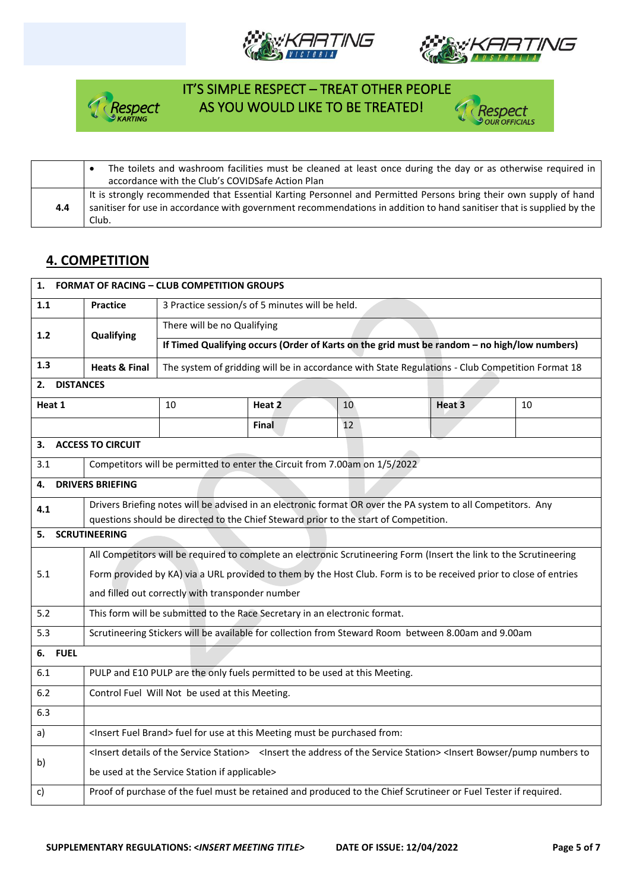







|     | The toilets and washroom facilities must be cleaned at least once during the day or as otherwise required in          |
|-----|-----------------------------------------------------------------------------------------------------------------------|
|     | accordance with the Club's COVIDSafe Action Plan                                                                      |
|     | It is strongly recommended that Essential Karting Personnel and Permitted Persons bring their own supply of hand      |
| 4.4 | sanitiser for use in accordance with government recommendations in addition to hand sanitiser that is supplied by the |
|     | Club.                                                                                                                 |

## **4. COMPETITION**

| 1.                     | <b>FORMAT OF RACING - CLUB COMPETITION GROUPS</b>                                                                   |                                                                                                     |              |    |                                                                                                                                                                                                      |    |  |  |
|------------------------|---------------------------------------------------------------------------------------------------------------------|-----------------------------------------------------------------------------------------------------|--------------|----|------------------------------------------------------------------------------------------------------------------------------------------------------------------------------------------------------|----|--|--|
| 1.1                    | <b>Practice</b>                                                                                                     | 3 Practice session/s of 5 minutes will be held.                                                     |              |    |                                                                                                                                                                                                      |    |  |  |
| 1.2                    | Qualifying                                                                                                          | There will be no Qualifying                                                                         |              |    |                                                                                                                                                                                                      |    |  |  |
|                        |                                                                                                                     | If Timed Qualifying occurs (Order of Karts on the grid must be random - no high/low numbers)        |              |    |                                                                                                                                                                                                      |    |  |  |
| 1.3                    | <b>Heats &amp; Final</b>                                                                                            |                                                                                                     |              |    | The system of gridding will be in accordance with State Regulations - Club Competition Format 18                                                                                                     |    |  |  |
| <b>DISTANCES</b><br>2. |                                                                                                                     |                                                                                                     |              |    |                                                                                                                                                                                                      |    |  |  |
| Heat 1                 |                                                                                                                     | 10                                                                                                  | Heat 2       | 10 | Heat 3                                                                                                                                                                                               | 10 |  |  |
|                        |                                                                                                                     |                                                                                                     | <b>Final</b> | 12 |                                                                                                                                                                                                      |    |  |  |
| З.                     | <b>ACCESS TO CIRCUIT</b>                                                                                            |                                                                                                     |              |    |                                                                                                                                                                                                      |    |  |  |
| 3.1                    |                                                                                                                     | Competitors will be permitted to enter the Circuit from 7.00am on 1/5/2022                          |              |    |                                                                                                                                                                                                      |    |  |  |
| 4.                     | <b>DRIVERS BRIEFING</b>                                                                                             |                                                                                                     |              |    |                                                                                                                                                                                                      |    |  |  |
| 4.1                    | Drivers Briefing notes will be advised in an electronic format OR over the PA system to all Competitors. Any        |                                                                                                     |              |    |                                                                                                                                                                                                      |    |  |  |
| 5.                     | questions should be directed to the Chief Steward prior to the start of Competition.<br><b>SCRUTINEERING</b>        |                                                                                                     |              |    |                                                                                                                                                                                                      |    |  |  |
|                        |                                                                                                                     |                                                                                                     |              |    |                                                                                                                                                                                                      |    |  |  |
|                        | All Competitors will be required to complete an electronic Scrutineering Form (Insert the link to the Scrutineering |                                                                                                     |              |    |                                                                                                                                                                                                      |    |  |  |
| 5.1                    | Form provided by KA) via a URL provided to them by the Host Club. Form is to be received prior to close of entries  |                                                                                                     |              |    |                                                                                                                                                                                                      |    |  |  |
|                        | and filled out correctly with transponder number                                                                    |                                                                                                     |              |    |                                                                                                                                                                                                      |    |  |  |
| 5.2                    |                                                                                                                     | This form will be submitted to the Race Secretary in an electronic format.                          |              |    |                                                                                                                                                                                                      |    |  |  |
| 5.3                    |                                                                                                                     | Scrutineering Stickers will be available for collection from Steward Room between 8.00am and 9.00am |              |    |                                                                                                                                                                                                      |    |  |  |
| <b>FUEL</b><br>6.      |                                                                                                                     |                                                                                                     |              |    |                                                                                                                                                                                                      |    |  |  |
| 6.1                    |                                                                                                                     | PULP and E10 PULP are the only fuels permitted to be used at this Meeting.                          |              |    |                                                                                                                                                                                                      |    |  |  |
| 6.2                    |                                                                                                                     | Control Fuel Will Not be used at this Meeting.                                                      |              |    |                                                                                                                                                                                                      |    |  |  |
| 6.3                    |                                                                                                                     |                                                                                                     |              |    |                                                                                                                                                                                                      |    |  |  |
| a)                     |                                                                                                                     | <insert brand="" fuel=""> fuel for use at this Meeting must be purchased from:</insert>             |              |    |                                                                                                                                                                                                      |    |  |  |
| b)                     |                                                                                                                     |                                                                                                     |              |    | <lnsert details="" of="" service="" station="" the=""> <lnsert address="" of="" service="" station="" the=""> <lnsert bowser="" numbers="" pump="" th="" to<=""><th></th></lnsert></lnsert></lnsert> |    |  |  |
|                        | be used at the Service Station if applicable>                                                                       |                                                                                                     |              |    |                                                                                                                                                                                                      |    |  |  |
| c)                     |                                                                                                                     |                                                                                                     |              |    | Proof of purchase of the fuel must be retained and produced to the Chief Scrutineer or Fuel Tester if required.                                                                                      |    |  |  |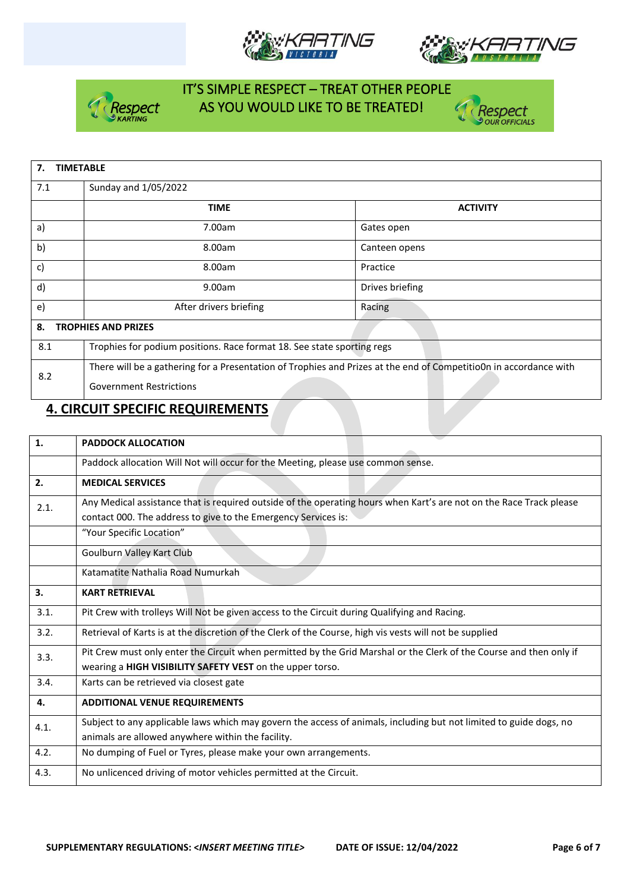







| <b>TIMETABLE</b><br>7. |                                                                                                                   |                 |  |  |  |
|------------------------|-------------------------------------------------------------------------------------------------------------------|-----------------|--|--|--|
| 7.1                    | Sunday and 1/05/2022                                                                                              |                 |  |  |  |
|                        | <b>TIME</b>                                                                                                       | <b>ACTIVITY</b> |  |  |  |
| a)                     | 7.00am                                                                                                            | Gates open      |  |  |  |
| b)                     | 8.00am                                                                                                            | Canteen opens   |  |  |  |
| c)                     | 8.00am                                                                                                            | Practice        |  |  |  |
| $\mathsf{d}$           | 9.00am                                                                                                            | Drives briefing |  |  |  |
| e)                     | After drivers briefing                                                                                            | Racing          |  |  |  |
| 8.                     | <b>TROPHIES AND PRIZES</b>                                                                                        |                 |  |  |  |
| 8.1                    | Trophies for podium positions. Race format 18. See state sporting regs                                            |                 |  |  |  |
| 8.2                    | There will be a gathering for a Presentation of Trophies and Prizes at the end of CompetitioOn in accordance with |                 |  |  |  |
|                        | <b>Government Restrictions</b>                                                                                    |                 |  |  |  |

### **4. CIRCUIT SPECIFIC REQUIREMENTS**

| 1.   | <b>PADDOCK ALLOCATION</b>                                                                                                                                                             |  |  |  |
|------|---------------------------------------------------------------------------------------------------------------------------------------------------------------------------------------|--|--|--|
|      | Paddock allocation Will Not will occur for the Meeting, please use common sense.                                                                                                      |  |  |  |
| 2.   | <b>MEDICAL SERVICES</b>                                                                                                                                                               |  |  |  |
| 2.1. | Any Medical assistance that is required outside of the operating hours when Kart's are not on the Race Track please<br>contact 000. The address to give to the Emergency Services is: |  |  |  |
|      | "Your Specific Location"                                                                                                                                                              |  |  |  |
|      | Goulburn Valley Kart Club                                                                                                                                                             |  |  |  |
|      | Katamatite Nathalia Road Numurkah                                                                                                                                                     |  |  |  |
| 3.   | <b>KART RETRIEVAL</b>                                                                                                                                                                 |  |  |  |
| 3.1. | Pit Crew with trolleys Will Not be given access to the Circuit during Qualifying and Racing.                                                                                          |  |  |  |
| 3.2. | Retrieval of Karts is at the discretion of the Clerk of the Course, high vis vests will not be supplied                                                                               |  |  |  |
| 3.3. | Pit Crew must only enter the Circuit when permitted by the Grid Marshal or the Clerk of the Course and then only if<br>wearing a HIGH VISIBILITY SAFETY VEST on the upper torso.      |  |  |  |
| 3.4. | Karts can be retrieved via closest gate                                                                                                                                               |  |  |  |
| 4.   | <b>ADDITIONAL VENUE REQUIREMENTS</b>                                                                                                                                                  |  |  |  |
| 4.1. | Subject to any applicable laws which may govern the access of animals, including but not limited to guide dogs, no<br>animals are allowed anywhere within the facility.               |  |  |  |
| 4.2. | No dumping of Fuel or Tyres, please make your own arrangements.                                                                                                                       |  |  |  |
| 4.3. | No unlicenced driving of motor vehicles permitted at the Circuit.                                                                                                                     |  |  |  |